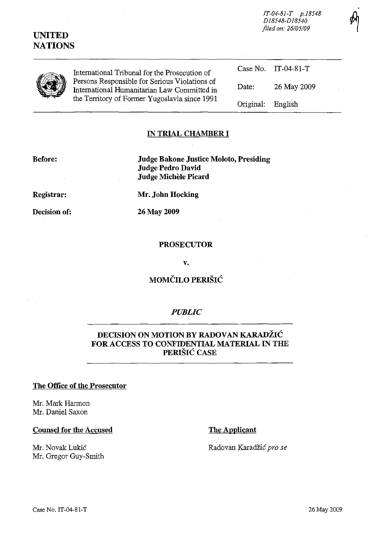*IT-04-81-T p.18548 D18548-D18540 filed on: 26105109* 

# **UNITED NATIONS**

International Tribunal for the Prosecution of Persons Responsible for Serious Violations of International Humanitarian Law Committed in the Territory of Former Yugoslavia since 1991 Case No. IT-04-81-T Date: 26 May 2009 Original: English

## **IN TRIAL CHAMBER I**

#### **Before:**

**Judge Bakone Justice Moloto, Presiding Judge Pedro David Judge Michele Picard** 

**Registrar:** 

**Decision of:** 

**Mr. John Hocking** 

26 May 2009

### **PROSECUTOR**

**v.** 

**MOMCILO PERISIC** 

## *PUBLIC*

## **DECISION ON MOTION BY RADOVAN KARADŽIĆ FOR ACCESS TO CONFIDENTIAL MATERIAL IN THE PERISIC CASE**

#### **The Office of the Prosecutor**

Mr. Mark Harmon Mr. Daniel Saxon

#### **Counsel for the Accused**

Mr. Novak Lukic Mr. Gregor Guy-Smith **The Applicant** 

Radovan Karadzic *pro se*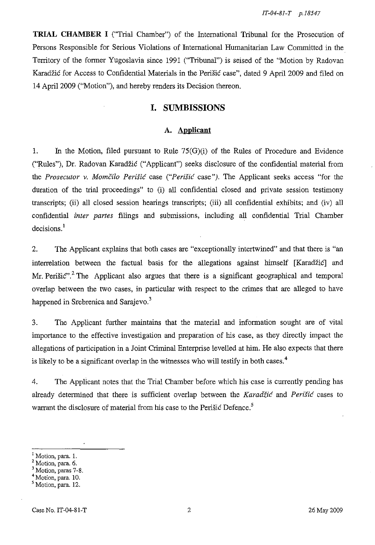**TRIAL CHAMBER I** ("Trial Chamber") of the International Tribunal for the Prosecution of Persons Responsible for Serious Violations of International Humanitarian Law Committed in the Territory of the former Yugoslavia since 1991 ("Tribunal") is seised of the "Motion by Radovan Karadzic for Access to Confidential Materials in the Perisic case", dated 9 April 2009 and filed on 14 April 2009 ("Motion"), and hereby renders its Decision thereon.

#### **I. SUMBISSIONS**

#### **A. Applicant**

1. In the Motion, filed pursuant to Rule 75(G)(i) of the Rules of Procedure and Evidence ("Rules"), Dr. Radovan Karadzic ("Applicant") seeks disclosure of the confidential material from the *Prosecutor* v. *Momcilo Perisic* case *("Perisic* case"). The Applicant seeks access "for the duration of the trial proceedings" to (i) all confidential closed and private session testimony transcripts; (ii) all closed session hearings transcripts; (iii) all confidential exhibits; and (iv) all confidential *inter partes* filings and submissions, including all confidential Trial Chamber decisions.<sup>1</sup>

2. The Applicant explains that both cases are "exceptionally intertwined" and that there is "an interrelation between the factual basis for the allegations against himself [Karadžić] and Mr. Perišić".<sup>2</sup> The Applicant also argues that there is a significant geographical and temporal overlap between the two cases, in particular with respect to the crimes that are alleged to have happened in Srebrenica and Sarajevo.<sup>3</sup>

3. The Applicant further maintains that the material and information sought are of vital importance to the effective investigation and preparation of his case, as they directly impact the allegations of participation in a Joint Criminal Enterprise levelled at him. He also expects that there is likely to be a significant overlap in the witnesses who will testify in both cases. <sup>4</sup>

4. The Applicant notes that the Trial Chamber before which his case is currently pending has already determined that there is sufficient overlap between the *Karadiic* and *Perisic* cases to warrant the disclosure of material from his case to the Perišić Defence.<sup>5</sup>

Motion, para. 1.

<sup>2</sup> Motion, para. 6.

<sup>&</sup>lt;sup>3</sup> Motion, paras 7-8.

<sup>&</sup>lt;sup>4</sup> Motion, para. 10.

<sup>&</sup>lt;sup>5</sup> Motion, para. 12.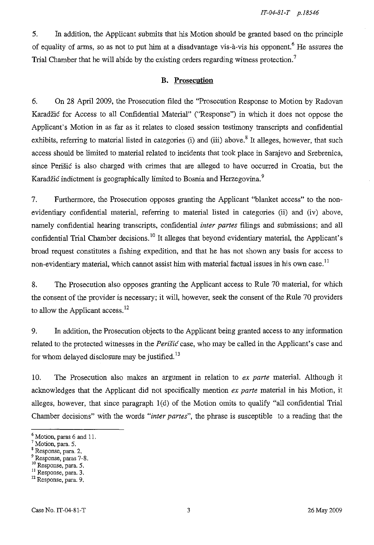5. In addition, the Applicant submits that his Motion should be granted based on the principle of equality of arms, so as not to put him at a disadvantage vis- $\alpha$ -vis his opponent.<sup>6</sup> He assures the Trial Chamber that he will abide by the existing orders regarding witness protection.<sup>7</sup>

### **B. Prosecution**

6. On 28 April 2009, the Prosecution filed the "Prosecution Response to Motion by Radovan Karadzic for Access to all Confidential Material" ("Response") in which it does not oppose the Applicant's Motion in as far as it relates to closed session testimony transcripts and confidential exhibits, referring to material listed in categories (i) and (iii) above.<sup>8</sup> It alleges, however, that such access should be limited to material related to incidents that took place in Sarajevo and Srebrenica, since Peri sic is also charged with crimes that are alleged to have occurred in Croatia, but the Karadžić indictment is geographically limited to Bosnia and Herzegovina.<sup>9</sup>

7. Furthermore, the Prosecution opposes granting the Applicant "blanket access" to the nonevidentiary confidential material, referring to material listed in categories (ii) and (iv) above, namely confidential hearing transcripts, confidential *inter partes* filings and submissions; and all confidential Trial Chamber decisions.<sup>10</sup> It alleges that beyond evidentiary material, the Applicant's broad request constitutes a fishing expedition, and that he has not shown any basis for access to non-evidentiary material, which cannot assist him with material factual issues in his own case.<sup>11</sup>

8. The Prosecution also opposes granting the Applicant access to Rule 70 material, for which the consent of the provider is necessary; it will, however, seek the consent of the Rule 70 providers to allow the Applicant access.<sup>12</sup>

9. In addition, the Prosecution objects to the Applicant being granted access to any information related to the protected witnesses in the *Peritic* case, who may be called in the Applicant's case and for whom delayed disclosure may be justified.<sup>13</sup>

10. The Prosecution also makes an argument in relation to *ex parte* material. Although it acknowledges that the Applicant did not specifically mention *ex parte* material in his Motion, it alleges, however, that since paragraph  $1(d)$  of the Motion omits to qualify "all confidential Trial Chamber decisions" with the words *"inter partes",* the phrase is susceptible to a reading that the

- 8 Response, para. 2.
- 9 Response, paras 7-8.
- 10 Response, para. 5.

<sup>6</sup> Motion, paras 6 and 11.

<sup>&</sup>lt;sup>7</sup> Motion, para. 5.

**<sup>11</sup>Response, para. 3. <sup>12</sup>Response, para. 9.**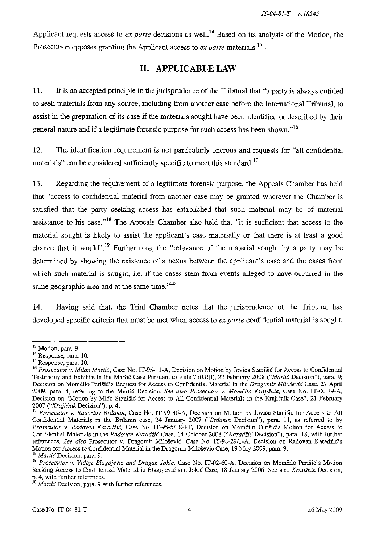Applicant requests access to *ex parte* decisions as well.<sup>14</sup> Based on its analysis of the Motion, the Prosecution opposes granting the Applicant access to *ex parte* materials.<sup>15</sup>

# **II. APPLICABLE LAW**

11. **It** is an accepted principle in the jurisprudence of the Tribunal that "a party is always entitled to seek materials from any source, including from another case before the International Tribunal, to assist in the preparation of its case if the materials sought have been identified or described by their general nature and if a legitimate forensic purpose for such access has been shown." $16$ 

12. The identification requirement is not particularly onerous and requests for "all confidential materials" can be considered sufficiently specific to meet this standard.<sup>17</sup>

13. Regarding the requirement of a legitimate forensic purpose, the Appeals Chamber has held that "access to confidential material from another case may be granted wherever the Chamber is satisfied that the party seeking access has established that such material may be of material assistance to his case."<sup>18</sup> The Appeals Chamber also held that "it is sufficient that access to the material sought is likely to assist the applicant's case materially or that there is at least a good chance that it would".<sup>19</sup> Furthermore, the "relevance of the material sought by a party may be determined by showing the existence of a nexus between the applicant's case and the cases from which such material is sought, i.e. if the cases stem from events alleged to have occurred in the same geographic area and at the same time. $n^{20}$ 

14. Having said that, the Trial Chamber notes that the jurisprudence of the Tribunal has developed specific criteria that must be met when access to *ex parte* confidential material is sought.

<sup>&</sup>lt;sup>13</sup> Motion, para. 9.

<sup>14</sup> Response, para. 10.

<sup>&</sup>lt;sup>15</sup> Response, para. 10.

<sup>&</sup>lt;sup>16</sup> Prosecutor v. Milan Martić, Case No. IT-95-11-A, Decision on Motion by Jovica Stanišić for Access to Confidential Testimony and Exhibits in the Martie Case Pursuant to Rule 75(G)(i), 22 February 200S *("Martie* Decision"), para. 9; Decision on Momčilo Perišić's Request for Access to Confidential Material in the *Dragomir Milošević* Case, 27 April 2009, para. 4, referring to the Martie Decision. *See also Prosecutor* v. *Momcilo Krajisnik,* Case No. IT-00-39-A, Decision on "Motion by Mićo Stanišić for Access to All Confidential Materials in the Krajišnik Case", 21 February *2007 ("Krajisnik* Decision"), p. 4.

<sup>17</sup>*Prosecutor* v. *Radoslav Brdanin,* Case No. IT-99-36-A, Decision on Motion by Jovica Stanisie for Access to AJ1 Confidential Materials in the Brdanin case, 24 January 2007 *("Brdanin* Decision"), para. 11, as referred to by Prosecutor v. Radovan Karadžić, Case No. IT-95-5/18-PT, Decision on Momčilo Perišić's Motion for Access to Confidential Materials in the *Radovan Karadzie* Case, 14 October 200S *("Karadzie* Decision"), para. 18, with further references. See also Prosecutor v. Dragomir Milošević, Case No. IT-98-29/1-A, Decision on Radovan Karadžić's Motion for Access to Confidential Material in the Dragomir Milošević Case, 19 May 2009, para. 9,

<sup>&</sup>lt;sup>18</sup> Martic Decision, para. 9.

<sup>&</sup>lt;sup>19</sup> Prosecutor v. Vidoje Blagojević and Dragan Jokić, Case No. IT-02-60-A, Decision on Momčilo Perišić's Motion Seeking Access to Confidential Material in B1agojevie and Jokie Case, 18 January 2006. See also *Krajisnik* Decision, **<sup>E</sup>' 4, with further references.** 

**o** *Martie* **Decision, para. 9 with further references.**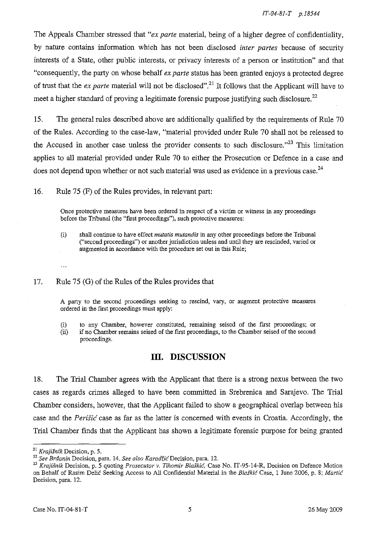The Appeals Chamber stressed that *"ex parte* material, being of a higher degree of confidentiality, by nature contains information which has not been disclosed *inter partes* because of security interests of a State, other public interests, or privacy interests of a person or institution" and that "consequently, the party on whose behalf *ex parte* status has been granted enjoys a protected degree of trust that the *ex parte* material will not be disclosed" .21 It follows that the Applicant will have to meet a higher standard of proving a legitimate forensic purpose justifying such disclosure.<sup>22</sup>

15. The general rules described above are additionally qualified by the requirements of Rule 70 of the Rules. According to the case-law, "material provided under Rule 70 shall not be released to the Accused in another case unless the provider consents to such disclosure. $123$  This limitation applies to all material provided under Rule 70 to either the Prosecution or Defence in a case and does not depend upon whether or not such material was used as evidence in a previous case.<sup>24</sup>

16. Rule 75 (F) of the Rules provides, in relevant part:

**Once protective measures have been ordered in respect of a victim or witness in any proceedings**  before the Tribunal (the "first proceedings"), such protective measures:

#### 17. Rule 75 (G) of the Rules of the Rules provides that

A party to the second proceedings seeking to rescind, vary, or augment protective measures ordered in the first proceedings must apply:

(i) to any Chamber, however constituted, remammg seised of the first proceedings; or

(ii) if no Chamber remains seised of the first proceedings, to the Chamber seised of the second proceedings.

## **III. DISCUSSION**

18. The Trial Chamber agrees with the Applicant that there is a strong nexus between the two cases as regards crimes alleged to have been committed in Srebrenica and Sarajevo. The Trial Chamber considers, however, that the Applicant failed to show a geographical overlap between his case and the *Perišić* case as far as the latter is concerned with events in Croatia. Accordingly, the Trial Chamber finds that the Applicant has shown a legitimate forensic purpose for being granted

 $\ddotsc$ 

<sup>(</sup>i) shall continue to have effect *mutatis mutandis* in any other proceedings before the Tribunal ("second proceedings") or another jurisdiction unless and until they are rescinded, varied or augmented in accordance with the procedure set out in this Rule;

<sup>21</sup>*Krajisnik* Decision, p. 5.

<sup>22</sup>*See Brdanin* Decision. para. 14. *See also KaradiieDecision,* para. 12.

<sup>23</sup>*Krajisnik* Decision, p. 5 quoting *Prosecutor* v. *Tihomir Blaskie.* Case No. IT-95-14-R, Decision on Defence Motion on Behalf of Rasim Delio Seeking Access to All Confidential Material in the *Blaskie* Case, 1 June 2006, p. 8; *Martie*  Decision, para. 12.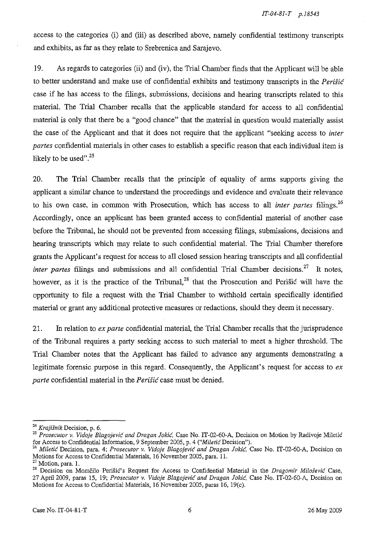access to the categories (i) and (iii) as described above, namely confidential testimony transcripts and exhibits, as far as they relate to Srebrenica and Sarajevo.

19. As regards to categories (ii) and (iv), the Trial Chamber finds that the Applicant will be able to better understand and make use of confidential exhibits and testimony transcripts in the *Perisi6*  case if he has access to the filings, submissions, decisions and hearing transcripts related to this material. The Trial Chamber recalls that the applicable standard for access to all confidential material is only that there be a "good chance" that the material in question would materially assist the case of the Applicant and that it does not require that the applicant "seeking access to *inter partes* confidential materials in other cases to establish a specific reason that each individual item is likely to be used". $25$ 

20. The Trial Chamber recalls that the principle of equality of arms supports giving the applicant a similar chance to understand the proceedings and evidence and evaluate their relevance to his own case, in common with Prosecution, which has access to all *inter partes* filings. <sup>26</sup> Accordingly, once an applicant has been granted access to confidential material of another case before the Tribunal, he should not be prevented from accessing filings, submissions, decisions and hearing transcripts which may relate to such confidential material. The Trial Chamber therefore grants the Applicant's request for access to all closed session hearing transcripts and all confidential *inter partes* filings and submissions and all confidential Trial Chamber decisions.<sup>27</sup> It notes, however, as it is the practice of the Tribunal,<sup>28</sup> that the Prosecution and Perišić will have the opportunity to file a request with the Trial Chamber to withhold certain specifically identified material or grant any additional protective measures or redactions, should they deem it necessary.

21. In relation to *ex parte* confidential material, the Trial Chamber recalls that the jurisprudence of the Tribunal requires a party seeking access to such material to meet a higher threshold. The Trial Chamber notes that the Applicant has failed to advance any arguments demonstrating a legitimate forensic purpose in this regard. Consequently, the Applicant's request for access to *ex parte* confidential material in the *PeriSi6* case must be denied.

*<sup>24</sup> Krajisnik* Decision, p. 6.

<sup>&</sup>lt;sup>25</sup> Prosecutor v. Vidoje Blagojević and Dragan Jokić, Case No. IT-02-60-A, Decision on Motion by Radivoje Miletić for Access to Confidential Information, 9 September 2005, p. 4 *("Mile tic* Decision").

*<sup>26</sup> Miletie* Decision, para. 4; *Prosecutor v. Vidoje Blagojevic and Dragan Jokie,* Case No. IT-02-60-A, Decision on Motions for Access to Confidential Materials, 16 November 2005, para. II.

 $27$  Motion, para. 1.

<sup>&</sup>lt;sup>28</sup> Decision on Momčilo Perišić's Request for Access to Confidential Material in the *Dragomir Milošević* Case, 27 April 2009, paras 15, 19; *Prosecutor v. Vidoje Blagojevic and Dragan Jokie,* Case No. IT-02-60-A, Decision on Motions for Access to Confidential Materials, 16 November 2005, paras 16, 19(c).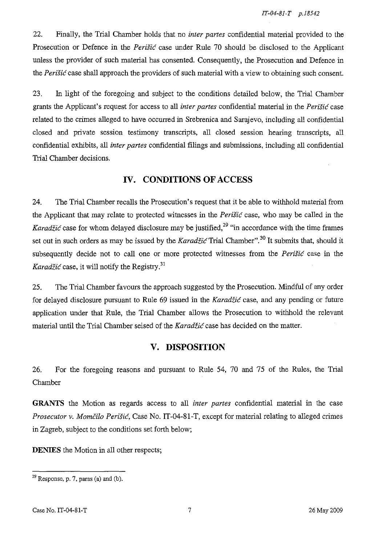22. Finally, the Trial Chamber holds that no *inter partes* confidential material provided to the Prosecution or Defence in the *Perišić* case under Rule 70 should be disclosed to the Applicant unless the provider of such material has consented. Consequently, the Prosecution and Defence in the *Peristic* case shall approach the providers of such material with a view to obtaining such consent.

23. In light of the foregoing and subject to the conditions detailed below, the Trial Chamber grants the Applicant's request for access to all *inter partes* confidential material in the *Perišić* case related to the crimes alleged to have occurred in Srebrenica and Sarajevo, including all confidential closed and private session testimony transcripts, all closed session hearing transcripts, all confidential exhibits, all *inter partes* confidential filings and submissions, including all confidential Trial Chamber decisions.

# **IV. CONDITIONS OF ACCESS**

24. The Trial Chamber recalls the Prosecution's request that it be able to withhold material from the Applicant that may relate to protected witnesses in the *Perišić* case, who may be called in the *Karadžić* case for whom delayed disclosure may be justified,<sup>29</sup> "in accordance with the time frames set out in such orders as may be issued by the *Karadzi6* Trial Chamber". 30 **It** submits that, should it subsequently decide not to call one or more protected witnesses from the *Perišić* case in the *Karadžić* case, it will notify the Registry.<sup>31</sup>

25. The Trial Chamber favours the approach suggested by the Prosecution. Mindful of any order for delayed disclosure pursuant to Rule 69 issued in the *Karadžić* case, and any pending or future application under that Rule, the Trial Chamber allows the Prosecution to withhold the relevant material until the Trial Chamber seised of the *Karadžić* case has decided on the matter.

# **V. DISPOSITION**

26. For the foregoing reasons and pursuant to Rule 54, 70 and 75 of the Rules, the Trial Chamber

**GRANTS** the Motion as regards access to all *inter partes* confidential material in the case *Prosecutor v. Momčilo Perišić*, Case No. IT-04-81-T, except for material relating to alleged crimes in Zagreb, subject to the conditions set forth below;

**DENIES** the Motion in all other respects;

 $^{29}$  Response, p. 7, paras (a) and (b).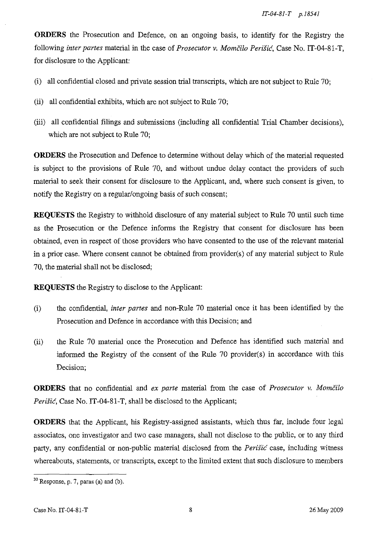**ORDERS** the Prosecution and Defence, on an ongoing basis, to identify for the Registry the following *inter partes* material in the case of *Prosecutor v. Momčilo Perišić*, Case No. IT-04-81-T, for disclosure to the Applicant:

- (i) all confidential closed and private session trial transcripts, which are not subject to Rule 70;
- (ii) all confidential exhibits, which are not subject to Rule 70;
- (iii) all confidential filings and submissions (including all confidential Trial Chamber decisions), which are not subject to Rule 70;

**ORDERS** the Prosecution and Defence to determine without delay which of the material requested is subject to the provisions of Rule 70, and without undue delay contact the providers of such material to seek their consent for disclosure to the Applicant, and, where such consent is given, to notify the Registry on a regular/ongoing basis of such consent;

**REQUESTS** the Registry to withhold disclosure of any material subject to Rule 70 until such time as the Prosecution or the Defence informs the Registry that consent for disclosure has been obtained, even in respect of those providers who have consented to the use of the relevant material in a prior case. Where consent cannot be obtained from provider(s) of any material subject to Rule 70, the material shall not be disclosed;

**REQUESTS** the Registry to disclose to the Applicant:

- (i) the confidential, *inter partes* and non-Rule 70 material once it has been identified by the Prosecution and Defence in accordance with this Decision; and
- (ii) the Rule 70 material once the Prosecution and Defence has identified such material and informed the Registry of the consent of the Rule 70 provider(s) in accordance with this Decision;

**ORDERS** that no confidential and *ex parte* material from the case of *Prosecutor v. Momcilo Perisic,* Case No. IT-04-81-T, shall be disclosed to the Applicant;

**ORDERS** that the Applicant, his Registry-assigned assistants, which thus far, include four legal associates, one investigator and two case managers, shall not disclose to the public, or to any third party, any confidential or non-public material disclosed from the *Perisic* case, including witness whereabouts, statements, or transcripts, except to the limited extent that such disclosure to members

 $30$  Response, p. 7, paras (a) and (b).